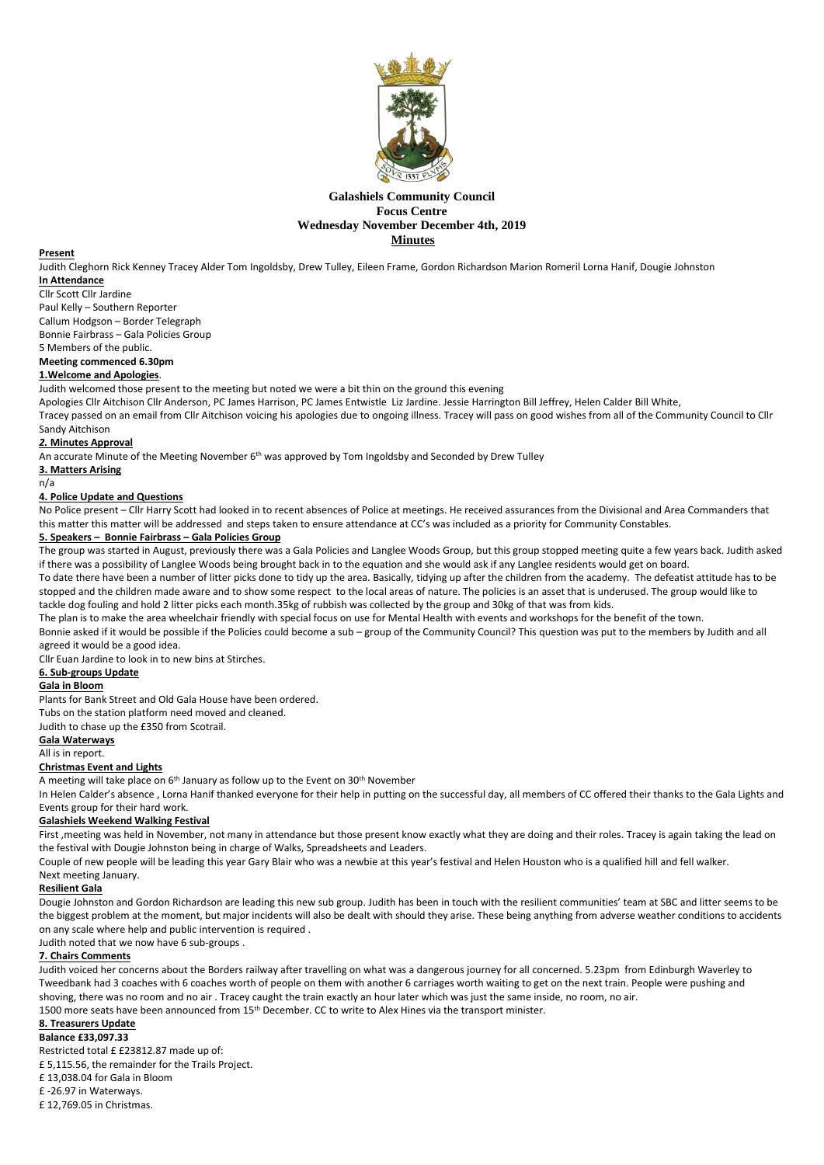

## **Galashiels Community Council Focus Centre Wednesday November December 4th, 2019** *Minutes Minutes*

### **Present**

Judith Cleghorn Rick Kenney Tracey Alder Tom Ingoldsby, Drew Tulley, Eileen Frame, Gordon Richardson Marion Romeril Lorna Hanif, Dougie Johnston **In Attendance**

### Cllr Scott Cllr Jardine

Paul Kelly – Southern Reporter

Callum Hodgson – Border Telegraph Bonnie Fairbrass – Gala Policies Group

5 Members of the public.

## **Meeting commenced 6.30pm**

## **1.Welcome and Apologies**.

Judith welcomed those present to the meeting but noted we were a bit thin on the ground this evening

Apologies Cllr Aitchison Cllr Anderson, PC James Harrison, PC James Entwistle Liz Jardine. Jessie Harrington Bill Jeffrey, Helen Calder Bill White,

Tracey passed on an email from Cllr Aitchison voicing his apologies due to ongoing illness. Tracey will pass on good wishes from all of the Community Council to Cllr Sandy Aitchison

## *2.* **Minutes Approval**

An accurate Minute of the Meeting November 6<sup>th</sup> was approved by Tom Ingoldsby and Seconded by Drew Tulley

# **3. Matters Arising**

# n/a

# **4. Police Update and Questions**

No Police present – Cllr Harry Scott had looked in to recent absences of Police at meetings. He received assurances from the Divisional and Area Commanders that this matter this matter will be addressed and steps taken to ensure attendance at CC's was included as a priority for Community Constables.

## **5. Speakers – Bonnie Fairbrass – Gala Policies Group**

The group was started in August, previously there was a Gala Policies and Langlee Woods Group, but this group stopped meeting quite a few years back. Judith asked if there was a possibility of Langlee Woods being brought back in to the equation and she would ask if any Langlee residents would get on board.

To date there have been a number of litter picks done to tidy up the area. Basically, tidying up after the children from the academy. The defeatist attitude has to be stopped and the children made aware and to show some respect to the local areas of nature. The policies is an asset that is underused. The group would like to tackle dog fouling and hold 2 litter picks each month.35kg of rubbish was collected by the group and 30kg of that was from kids.

The plan is to make the area wheelchair friendly with special focus on use for Mental Health with events and workshops for the benefit of the town.

Bonnie asked if it would be possible if the Policies could become a sub – group of the Community Council? This question was put to the members by Judith and all agreed it would be a good idea.

Cllr Euan Jardine to look in to new bins at Stirches.

# **6. Sub-groups Update**

### **Gala in Bloom**

Plants for Bank Street and Old Gala House have been ordered.

Tubs on the station platform need moved and cleaned.

Judith to chase up the £350 from Scotrail.

### **Gala Waterways**

All is in report.

# **Christmas Event and Lights**

A meeting will take place on 6<sup>th</sup> January as follow up to the Event on 30<sup>th</sup> November

In Helen Calder's absence, Lorna Hanif thanked everyone for their help in putting on the successful day, all members of CC offered their thanks to the Gala Lights and Events group for their hard work.

### **Galashiels Weekend Walking Festival**

First , meeting was held in November, not many in attendance but those present know exactly what they are doing and their roles. Tracey is again taking the lead on the festival with Dougie Johnston being in charge of Walks, Spreadsheets and Leaders.

Couple of new people will be leading this year Gary Blair who was a newbie at this year's festival and Helen Houston who is a qualified hill and fell walker.

### Next meeting January.

## **Resilient Gala**

Dougie Johnston and Gordon Richardson are leading this new sub group. Judith has been in touch with the resilient communities' team at SBC and litter seems to be the biggest problem at the moment, but major incidents will also be dealt with should they arise. These being anything from adverse weather conditions to accidents on any scale where help and public intervention is required .

Judith noted that we now have 6 sub-groups .

# **7. Chairs Comments**

Judith voiced her concerns about the Borders railway after travelling on what was a dangerous journey for all concerned. 5.23pm from Edinburgh Waverley to Tweedbank had 3 coaches with 6 coaches worth of people on them with another 6 carriages worth waiting to get on the next train. People were pushing and shoving, there was no room and no air . Tracey caught the train exactly an hour later which was just the same inside, no room, no air. 1500 more seats have been announced from 15th December. CC to write to Alex Hines via the transport minister.

# **8. Treasurers Update**

**Balance £33,097.33** 

Restricted total £ £23812.87 made up of:

£ 5,115.56, the remainder for the Trails Project.

£ 13,038.04 for Gala in Bloom

£ -26.97 in Waterways.

£ 12,769.05 in Christmas.